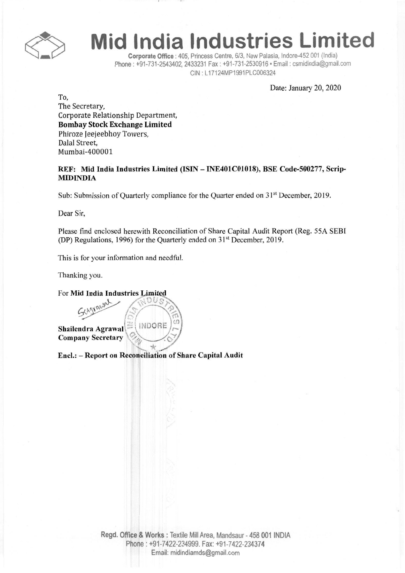

## **Mid India Industries Limited**

Corporate Office: 405, Princess Centre, 6/3, New Palasia, Indore-452 001 (India) Phone: +91-731-2543402, 2433231 Fax: +91-731-2530916· Email: csmidindia@gmail.com CIN : L17124MP1991PLC006324

Date: January 20, 2020

To, The Secretary, Corporate Relationship Department, Bombay Stock Exchange Limited Phiroze Ieejeebhoy Towers, Dalal Street, Mumbai-400001

REF: Mid India Industries Limited (ISIN - INE401COI018), BSE Code-500277, Scrip-MIDINDIA

Sub: Submission of Quarterly compliance for the Quarter ended on 31<sup>st</sup> December, 2019.

Dear Sir,

Please find enclosed herewith Reconciliation of Share Capital Audit Report (Reg. 55A SEBI (DP) Regulations, 1996) for the Quarterly ended on  $31<sup>st</sup>$  December, 2019.

This is for your information and needful.

Thanking you.

For Mid India Industries Limited

Shailendra Agrawal $\left|\geq\right\langle$  INDORE Company Secretary *\9-~"f*

encl.: - Report on Reconciliation of Share Capital Audit

 $\frac{1}{2}$ *r ,~ ;':J//"~~;* '?"~ H':">/ \(fl ,

*~ (;I*

Regd. Office & Works: Textile Mill Area, Mandsaur - 458 001 INDIA Phone: +91-7422-234999.Fax: +91-7422-234374 Email: midindiamds@gmail.com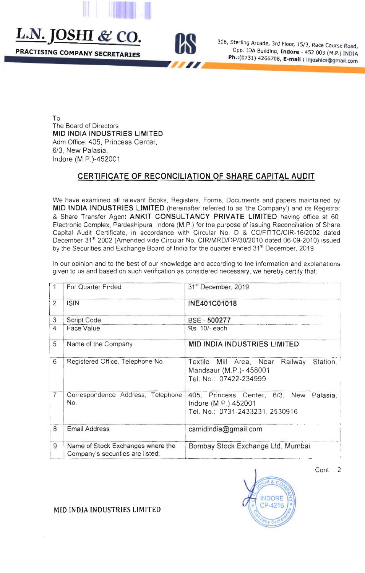L.N. JOSHI & CO.

PRACTISING COMPANY SECRETARIES



306, Sterling Arcade, 3rd Floor, 15/3, Race Course Road, Opp. IDA Building, Indore - 452 003 (M.P.) INDIA Ph.: (0731) 4266708, E-mail: Injoshics@gmail.com

To. The Board of Directors MID INDIA INDUSTRIES LIMITED Adm Office: 405, Princess Center, 6/3. New Palasia. Indore (M.P.)-452001

## CERTIFICATE OF RECONCILIATION OF SHARE CAPITAL AUDIT

We have examined all relevant Books, Registers, Forms, Documents and papers maintained by MID INDIA INDUSTRIES LIMITED (hereinafter referred to as 'the Company') and its Registrar & Share Transfer Agent ANKIT CONSULTANCY PRIVATE LIMITED having office at 60 Electronic Complex, Pardeshipura, Indore (M.P.) for the purpose of issuing Reconciliation of Share Capital Audit Certificate, in accordance with Circular No. D & CC/FITTC/CIR-16/2002 dated December 31<sup>st</sup> 2002 (Amended vide Circular No. CIR/MRD/DP/30/2010 dated 06-09-2010) issued by the Securities and Exchange Board of India for the quarter ended 31<sup>st</sup> December, 2019

In our opinion and to the best of our knowledge and according to the information and explanations given to us and based on such verification as considered necessary, we hereby certify that:

|                | For Quarter Ended                                                     | 31 <sup>st</sup> December, 2019                                                                    |  |
|----------------|-----------------------------------------------------------------------|----------------------------------------------------------------------------------------------------|--|
| 2              | <b>ISIN</b>                                                           | INE401C01018                                                                                       |  |
| 3              | Script Code                                                           | BSE: 500277                                                                                        |  |
| $\overline{4}$ | Face Value                                                            | Rs. 10/- each                                                                                      |  |
| 5              | Name of the Company                                                   | <b>MID INDIA INDUSTRIES LIMITED</b>                                                                |  |
| 6              | Registered Office, Telephone No.                                      | Textile Mill Area, Near<br>Railway<br>Station.<br>Mandsaur (M.P.)-458001<br>Tel. No.: 07422-234999 |  |
| 7              | Correspondence Address, Telephone<br>No.                              | 405, Princess Center, 6/3, New Palasia,<br>Indore (M.P.) 452001<br>Tel. No.: 0731-2433231, 2530916 |  |
| 8              | <b>Email Address</b>                                                  | csmidindia@gmail.com                                                                               |  |
| 9              | Name of Stock Exchanges where the<br>Company's securities are listed: | Bombay Stock Exchange Ltd, Mumbai                                                                  |  |

Cont.<sub>2</sub>



MID INDIA INDUSTRIES LIMITED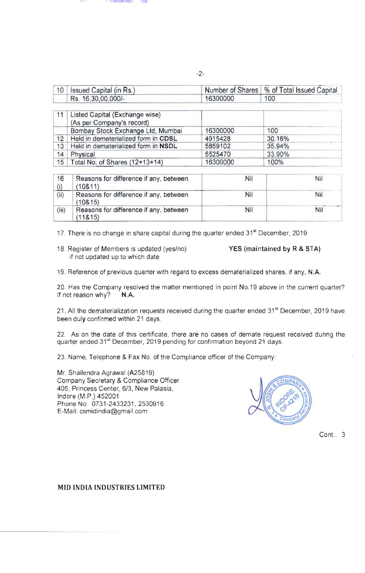| 10        | Issued Capital (in Rs.)                                     | Number of Shares | % of Total Issued Capital |
|-----------|-------------------------------------------------------------|------------------|---------------------------|
|           | Rs. 16,30,00,000/-                                          | 16300000         | 100                       |
| 11        | Listed Capital (Exchange wise)<br>(As per Company's record) |                  |                           |
|           | Bombay Stock Exchange Ltd, Mumbai                           | 16300000         | 100                       |
| 12        | Held in dematerialized form in CDSL                         | 4915428          | 30.16%                    |
| 13        | Held in dematerialized form in NSDL                         | 5859102          | 35.94%                    |
| 14        | Physical                                                    | 5525470          | 33.90%                    |
| 15        | Total No. of Shares (12+13+14)                              | 16300000         | 100%                      |
| 16<br>(i) | Reasons for difference if any, between<br>(10811)           | Nil              | Nil                       |
| (ii)      | Reasons for difference if any, between<br>(10815)           | Nil              | Nil                       |
| (iii)     | Reasons for difference if any, between<br>(118.15)          | Nil              | Nil                       |

-2-

17. There is no change in share capital during the quarter ended 31<sup>st</sup> December, 2019.

18. Register of Members is updated (yes/no) YES (maintained by R & STA) if not updated up to which date

19. Reference of previous quarter with regard to excess dematerialized shares, if any, N.A.

20. Has the Company resolved the matter mentioned in point No.19 above in the current quarter?<br>If not reason why?  $N.A$ . If not reason why?

21. All the dematerialization requests received during the quarter ended 31<sup>st</sup> December, 2019 have been duly confirmed within 21 days.

22. As on the date of this certificate, there are no cases of demate request received during the quarter ended 31<sup>st</sup> December, 2019 pending for confirmation beyond 21 days.

23. Name, Telephone & Fax No. of the Compliance officer of the Company:

Mr. Shailendra Agrawal (A25819) Company Secretary & Compliance Officer 405, Princess Center, 6/3, New Palasia, Indore (M.P.) 452001 Phone No: 0731-2433231, 2530916 E-Mail: [csmidindia@gmai1.com](mailto:csmidindia@gmail.com)



Cont.. 3

## MID INDIA INDUSTRIES LIMITED